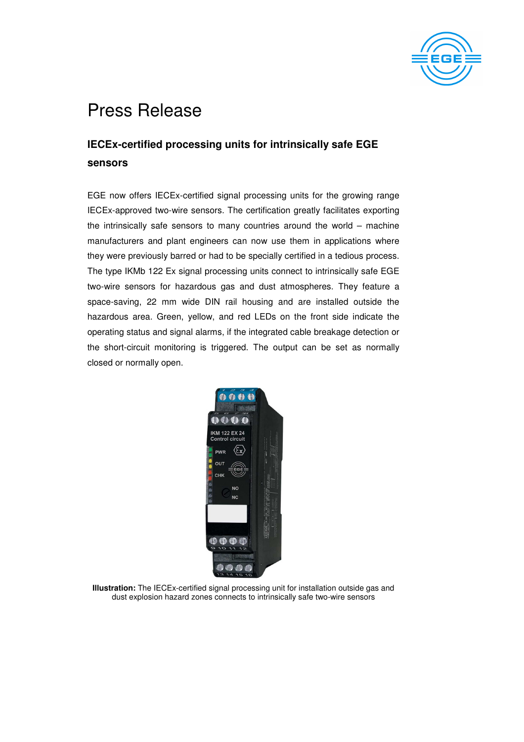

## Press Release

## **IECEx-certified processing units for intrinsically safe EGE sensors**

EGE now offers IECEx-certified signal processing units for the growing range IECEx-approved two-wire sensors. The certification greatly facilitates exporting the intrinsically safe sensors to many countries around the world – machine manufacturers and plant engineers can now use them in applications where they were previously barred or had to be specially certified in a tedious process. The type IKMb 122 Ex signal processing units connect to intrinsically safe EGE two-wire sensors for hazardous gas and dust atmospheres. They feature a space-saving, 22 mm wide DIN rail housing and are installed outside the hazardous area. Green, yellow, and red LEDs on the front side indicate the operating status and signal alarms, if the integrated cable breakage detection or the short-circuit monitoring is triggered. The output can be set as normally closed or normally open.



**Illustration:** The IECEx-certified signal processing unit for installation outside gas and dust explosion hazard zones connects to intrinsically safe two-wire sensors